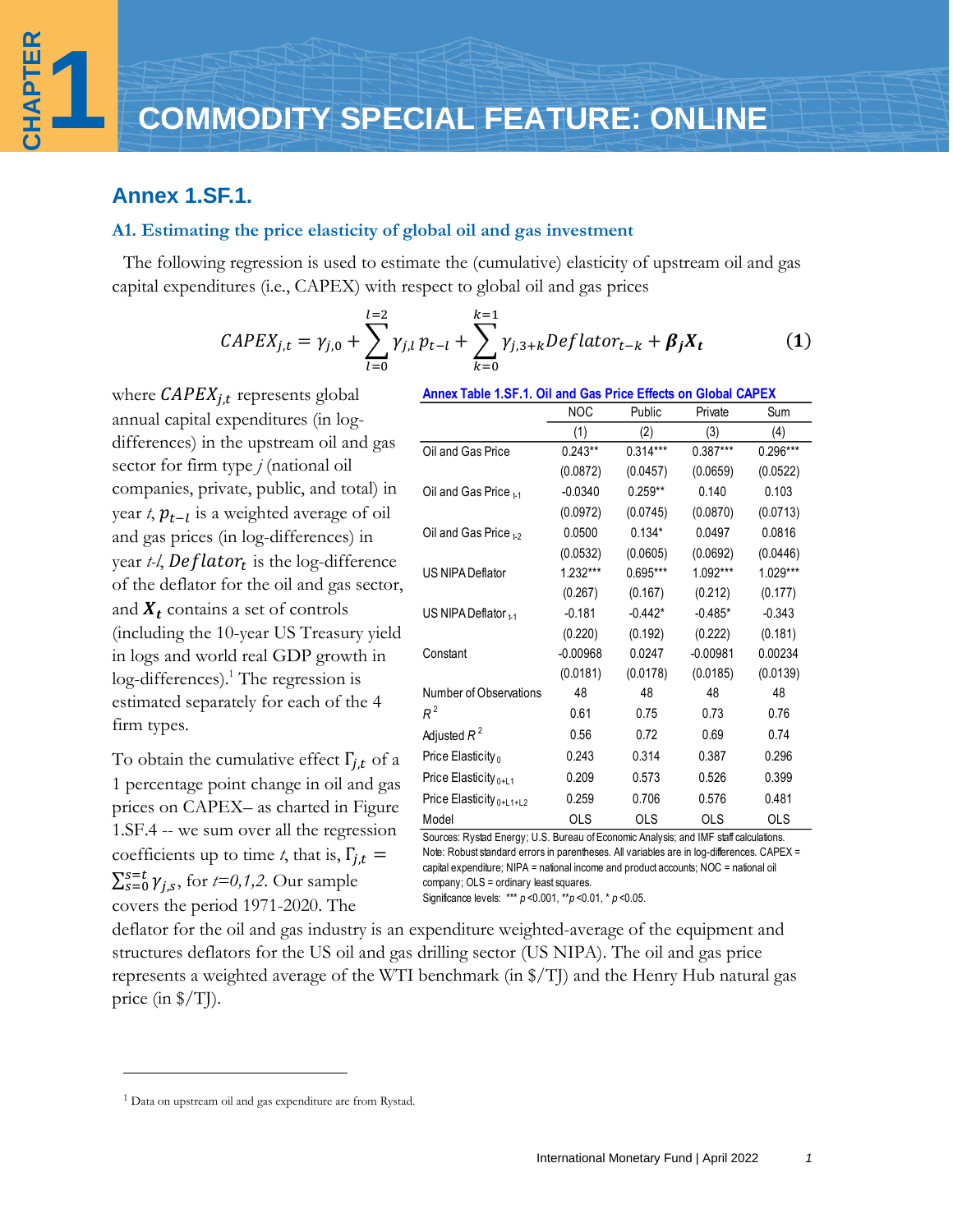# **Annex 1.SF.1.**

**ANNEX**

### **A1. Estimating the price elasticity of global oil and gas investment**

The following regression is used to estimate the (cumulative) elasticity of upstream oil and gas capital expenditures (i.e., CAPEX) with respect to global oil and gas prices

$$
CAPEX_{j,t} = \gamma_{j,0} + \sum_{l=0}^{l=2} \gamma_{j,l} p_{t-l} + \sum_{k=0}^{k=1} \gamma_{j,3+k} Deflator_{t-k} + \beta_j X_t
$$
 (1)

where  $\mathit{CAPEX}_{j,t}$  represents global annual capital expenditures (in logdifferences) in the upstream oil and gas sector for firm type *j* (national oil companies, private, public, and total) in year *t*,  $p_{t-l}$  is a weighted average of oil and gas prices (in log-differences) in year *t-l*, is the log-difference of the deflator for the oil and gas sector, and  $X_t$  contains a set of controls (including the 10-year US Treasury yield in logs and world real GDP growth in log-differences).<sup>1</sup> The regression is estimated separately for each of the 4 firm types.

To obtain the cumulative effect  $\Gamma_{i,t}$  of a 1 percentage point change in oil and gas prices on CAPEX– as charted in Figure 1.SF.4 -- we sum over all the regression coefficients up to time *t*, that is,  $\Gamma_{i,t}$  =  $\sum_{s=0}^{s=t} \gamma_{j,s}$ , for  $t=0,1,2$ . Our sample covers the period 1971-2020. The

| <b>Annex Table 1.SF.1. Oil and Gas Price Effects on Global CAPEX</b> |            |            |            |            |  |
|----------------------------------------------------------------------|------------|------------|------------|------------|--|
|                                                                      | <b>NOC</b> | Public     | Private    | Sum        |  |
|                                                                      | (1)        | (2)        | (3)        | (4)        |  |
| Oil and Gas Price                                                    | $0.243**$  | $0.314***$ | 0.387***   | 0.296***   |  |
|                                                                      | (0.0872)   | (0.0457)   | (0.0659)   | (0.0522)   |  |
| Oil and Gas Price $_{t,1}$                                           | $-0.0340$  | $0.259**$  | 0.140      | 0.103      |  |
|                                                                      | (0.0972)   | (0.0745)   | (0.0870)   | (0.0713)   |  |
| Oil and Gas Price $_{12}$                                            | 0.0500     | $0.134*$   | 0.0497     | 0.0816     |  |
|                                                                      | (0.0532)   | (0.0605)   | (0.0692)   | (0.0446)   |  |
| US NIPA Deflator                                                     | 1.232***   | 0.695***   | 1.092***   | 1.029***   |  |
|                                                                      | (0.267)    | (0.167)    | (0.212)    | (0.177)    |  |
| US NIPA Deflator $H_{11}$                                            | $-0.181$   | $-0.442*$  | $-0.485*$  | $-0.343$   |  |
|                                                                      | (0.220)    | (0.192)    | (0.222)    | (0.181)    |  |
| Constant                                                             | $-0.00968$ | 0.0247     | $-0.00981$ | 0.00234    |  |
|                                                                      | (0.0181)   | (0.0178)   | (0.0185)   | (0.0139)   |  |
| Number of Observations                                               | 48         | 48         | 48         | 48         |  |
| $R^2$                                                                | 0.61       | 0.75       | 0.73       | 0.76       |  |
| Adjusted $R^2$                                                       | 0.56       | 0.72       | 0.69       | 0.74       |  |
| Price Elasticity <sub>0</sub>                                        | 0.243      | 0.314      | 0.387      | 0.296      |  |
| Price Elasticity <sub>0+L1</sub>                                     | 0.209      | 0.573      | 0.526      | 0.399      |  |
| Price Elasticity 0+L1+L2                                             | 0.259      | 0.706      | 0.576      | 0.481      |  |
| Model                                                                | OLS        | <b>OLS</b> | OLS        | <b>OLS</b> |  |

Sources: Rystad Energy; U.S. Bureau of Economic Analysis; and IMF staff calculations. Note: Robust standard errors in parentheses. All variables are in log-differences. CAPEX = capital expenditure; NIPA = national income and product accounts; NOC = national oil company; OLS = ordinary least squares. Significance levels: \*\*\* *p* <0.001, \*\**p* <0.01, \* *p* <0.05.

deflator for the oil and gas industry is an expenditure weighted-average of the equipment and structures deflators for the US oil and gas drilling sector (US NIPA). The oil and gas price represents a weighted average of the WTI benchmark (in \$/TJ) and the Henry Hub natural gas price (in \$/TJ).

<sup>1</sup> Data on upstream oil and gas expenditure are from Rystad.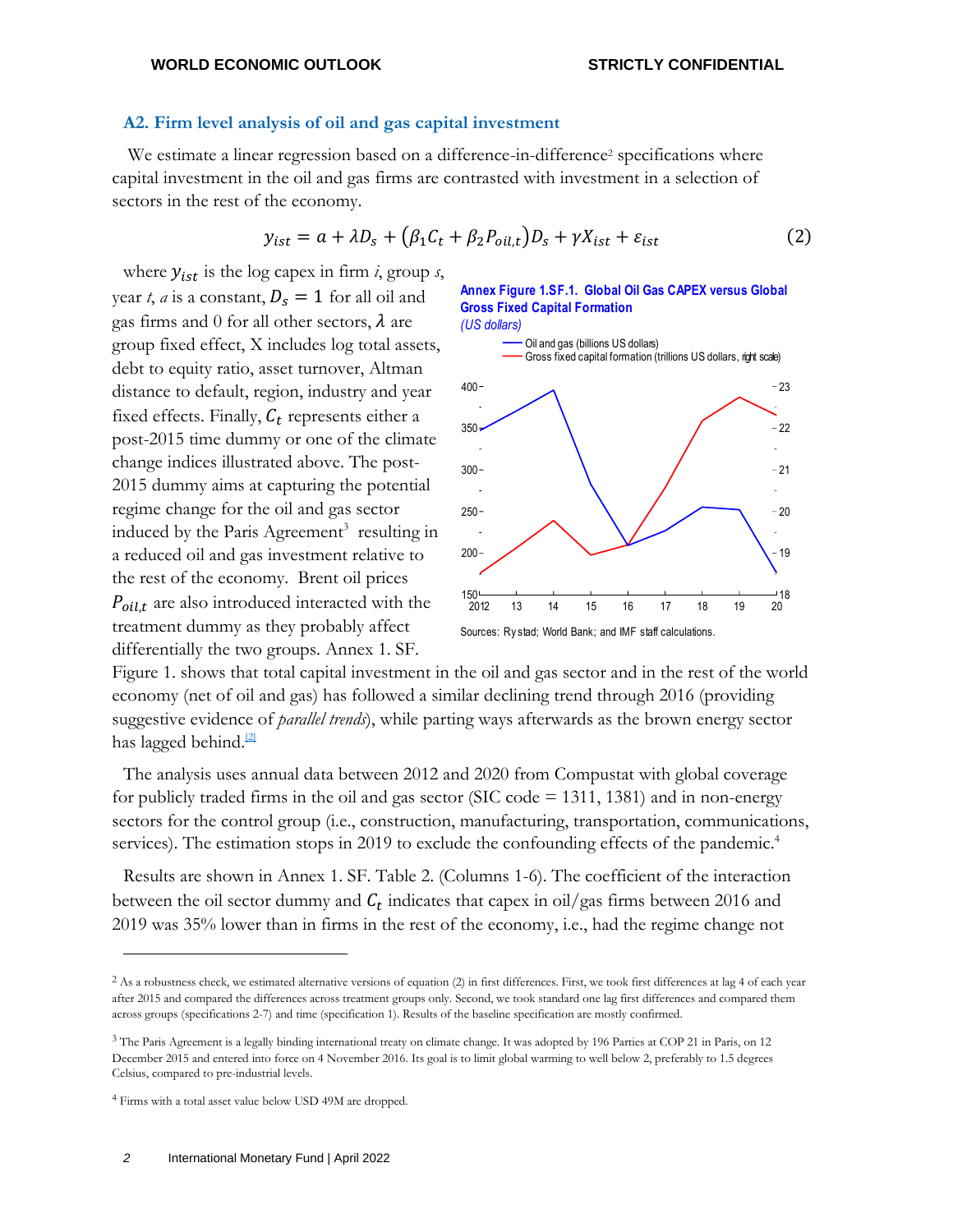#### **A2. Firm level analysis of oil and gas capital investment**

We estimate a linear regression based on a difference-in-difference<sup>2</sup> specifications where capital investment in the oil and gas firms are contrasted with investment in a selection of sectors in the rest of the economy.

$$
y_{ist} = a + \lambda D_s + (\beta_1 C_t + \beta_2 P_{oil,t})D_s + \gamma X_{ist} + \varepsilon_{ist}
$$
 (2)

where  $y_{ist}$  is the log capex in firm *i*, group *s*, year *t*, *a* is a constant,  $D_s = 1$  for all oil and gas firms and 0 for all other sectors,  $\lambda$  are group fixed effect, X includes log total assets, debt to equity ratio, asset turnover, Altman distance to default, region, industry and year fixed effects. Finally,  $C_t$  represents either a post-2015 time dummy or one of the climate change indices illustrated above. The post-2015 dummy aims at capturing the potential regime change for the oil and gas sector induced by the Paris Agreement<sup>3</sup> resulting in a reduced oil and gas investment relative to the rest of the economy. Brent oil prices  $P_{oil.t}$  are also introduced interacted with the treatment dummy as they probably affect differentially the two groups. Annex 1. SF.

**Annex Figure 1.SF.1. Global Oil Gas CAPEX versus Global Gross Fixed Capital Formation**



Figure 1. shows that total capital investment in the oil and gas sector and in the rest of the world economy (net of oil and gas) has followed a similar declining trend through 2016 (providing suggestive evidence of *parallel trends*), while parting ways afterwards as the brown energy sector has lagged behind. $[2]$ 

The analysis uses annual data between 2012 and 2020 from Compustat with global coverage for publicly traded firms in the oil and gas sector (SIC code  $= 1311, 1381$ ) and in non-energy sectors for the control group (i.e., construction, manufacturing, transportation, communications, services). The estimation stops in 2019 to exclude the confounding effects of the pandemic.<sup>4</sup>

Results are shown in Annex 1. SF. Table 2. (Columns 1-6). The coefficient of the interaction between the oil sector dummy and  $C_t$  indicates that capex in oil/gas firms between 2016 and 2019 was 35% lower than in firms in the rest of the economy, i.e., had the regime change not

<sup>&</sup>lt;sup>2</sup> As a robustness check, we estimated alternative versions of equation (2) in first differences. First, we took first differences at lag 4 of each year after 2015 and compared the differences across treatment groups only. Second, we took standard one lag first differences and compared them across groups (specifications 2-7) and time (specification 1). Results of the baseline specification are mostly confirmed.

<sup>&</sup>lt;sup>3</sup> The Paris Agreement is a legally binding international treaty on climate change. It was adopted by 196 Parties at COP 21 in Paris, on 12 December 2015 and entered into force on 4 November 2016. Its goal is to limit global warming to well below 2, preferably to 1.5 degrees Celsius, compared to pre-industrial levels.

<sup>4</sup> Firms with a total asset value below USD 49M are dropped.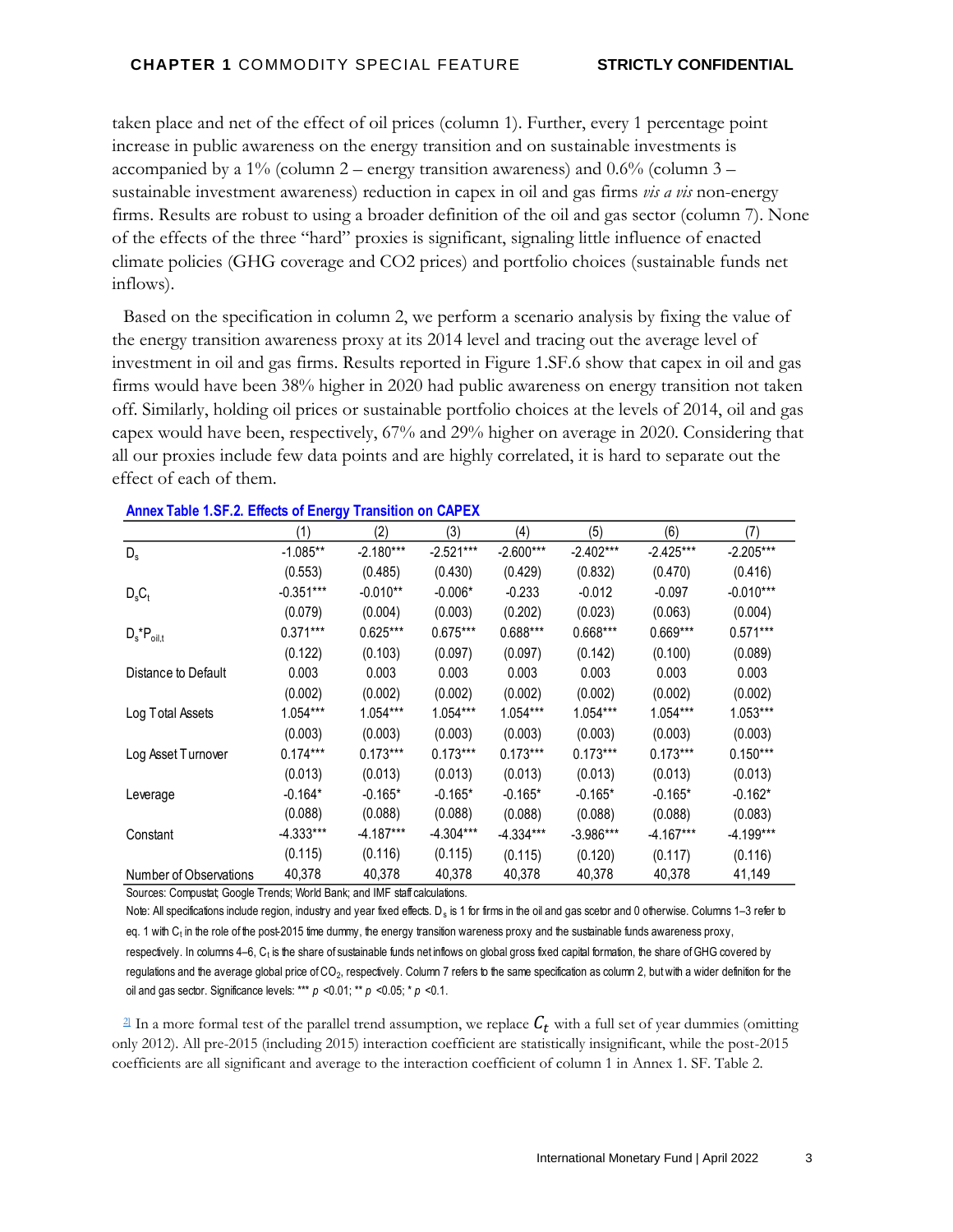taken place and net of the effect of oil prices (column 1). Further, every 1 percentage point increase in public awareness on the energy transition and on sustainable investments is accompanied by a  $1\%$  (column 2 – energy transition awareness) and 0.6% (column 3 – sustainable investment awareness) reduction in capex in oil and gas firms *vis a vis* non-energy firms. Results are robust to using a broader definition of the oil and gas sector (column 7). None of the effects of the three "hard" proxies is significant, signaling little influence of enacted climate policies (GHG coverage and CO2 prices) and portfolio choices (sustainable funds net inflows).

Based on the specification in column 2, we perform a scenario analysis by fixing the value of the energy transition awareness proxy at its 2014 level and tracing out the average level of investment in oil and gas firms. Results reported in Figure 1.SF.6 show that capex in oil and gas firms would have been 38% higher in 2020 had public awareness on energy transition not taken off. Similarly, holding oil prices or sustainable portfolio choices at the levels of 2014, oil and gas capex would have been, respectively, 67% and 29% higher on average in 2020. Considering that all our proxies include few data points and are highly correlated, it is hard to separate out the effect of each of them.

|                        | (1)         | (2)         | (3)         | (4)         | (5)         | (6)         | (7)         |
|------------------------|-------------|-------------|-------------|-------------|-------------|-------------|-------------|
| $D_{s}$                | $-1.085**$  | $-2.180***$ | $-2.521***$ | $-2.600***$ | $-2.402***$ | $-2.425***$ | $-2.205***$ |
|                        | (0.553)     | (0.485)     | (0.430)     | (0.429)     | (0.832)     | (0.470)     | (0.416)     |
| $D_{s}C_{t}$           | $-0.351***$ | $-0.010**$  | $-0.006*$   | $-0.233$    | $-0.012$    | $-0.097$    | $-0.010***$ |
|                        | (0.079)     | (0.004)     | (0.003)     | (0.202)     | (0.023)     | (0.063)     | (0.004)     |
| $D_s^*P_{oil,t}$       | $0.371***$  | $0.625***$  | $0.675***$  | 0.688***    | 0.668***    | $0.669***$  | $0.571***$  |
|                        | (0.122)     | (0.103)     | (0.097)     | (0.097)     | (0.142)     | (0.100)     | (0.089)     |
| Distance to Default    | 0.003       | 0.003       | 0.003       | 0.003       | 0.003       | 0.003       | 0.003       |
|                        | (0.002)     | (0.002)     | (0.002)     | (0.002)     | (0.002)     | (0.002)     | (0.002)     |
| Log Total Assets       | 1.054***    | 1.054***    | 1.054***    | 1.054***    | 1.054***    | 1.054***    | 1.053***    |
|                        | (0.003)     | (0.003)     | (0.003)     | (0.003)     | (0.003)     | (0.003)     | (0.003)     |
| Log Asset Turnover     | $0.174***$  | $0.173***$  | $0.173***$  | $0.173***$  | $0.173***$  | $0.173***$  | $0.150***$  |
|                        | (0.013)     | (0.013)     | (0.013)     | (0.013)     | (0.013)     | (0.013)     | (0.013)     |
| Leverage               | $-0.164*$   | $-0.165*$   | $-0.165*$   | $-0.165*$   | $-0.165*$   | $-0.165*$   | $-0.162*$   |
|                        | (0.088)     | (0.088)     | (0.088)     | (0.088)     | (0.088)     | (0.088)     | (0.083)     |
| Constant               | -4.333***   | -4.187***   | -4.304***   | $-4.334***$ | $-3.986***$ | $-4.167***$ | -4.199***   |
|                        | (0.115)     | (0.116)     | (0.115)     | (0.115)     | (0.120)     | (0.117)     | (0.116)     |
| Number of Observations | 40,378      | 40,378      | 40,378      | 40,378      | 40,378      | 40,378      | 41,149      |

#### **Annex Table 1.SF.2. Effects of Energy Transition on CAPEX**

Sources: Compustat; Google Trends; World Bank; and IMF staff calculations.

Note: All specifications include region, industry and year fixed effects. D<sub>s</sub> is 1 for firms in the oil and gas scetor and 0 otherwise. Columns 1–3 refer to eq. 1 with  ${\rm C}_{\rm t}$  in the role of the post-2015 time dummy, the energy transition wareness proxy and the sustainable funds awareness proxy, respectively. In columns 4–6, C<sub>t</sub> is the share of sustainable funds net inflows on global gross fixed capital formation, the share of GHG covered by regulations and the average global price of CO<sub>2</sub>, respectively. Column 7 refers to the same specification as column 2, but with a wider definition for the oil and gas sector. Significance levels: \*\*\* *p* <0.01; \*\* *p* <0.05; \* *p* <0.1.

<sup>[2\]](https://usc-word-edit.officeapps.live.com/we/wordeditorframe.aspx?ui=en%2DUS&rs=en%2DUS&wopisrc=https%3A%2F%2Fintlmonetaryfund-my.sharepoint.com%2Fpersonal%2Fcphillips2_imf_org%2F_vti_bin%2Fwopi.ashx%2Ffiles%2F89ca8bf8201646278926f0dfa5a23158&wdenableroaming=1&mscc=1&wdodb=1&hid=F33BF789-B215-4DFD-A5BA-C2D7A73378EB&wdorigin=Outlook-Body&wdhostclicktime=1644362264480&jsapi=1&jsapiver=v1&newsession=1&corrid=112ff7b1-ada3-aa00-aa9a-a55712d61b5e&usid=112ff7b1-ada3-aa00-aa9a-a55712d61b5e&sftc=1&mtf=1&sfp=1&instantedit=1&wopicomplete=1&wdredirectionreason=Unified_SingleFlush&preseededsessionkey=01cac788-2e1c-c3f4-6af3-65766ce3bea4&preseededwacsessionid=112ff7b1-ada3-aa00-aa9a-a55712d61b5e&rct=Medium&ctp=LeastProtected#_ftnref2)</sup> In a more formal test of the parallel trend assumption, we replace  $C_t$  with a full set of year dummies (omitting only 2012). All pre-2015 (including 2015) interaction coefficient are statistically insignificant, while the post-2015 coefficients are all significant and average to the interaction coefficient of column 1 in Annex 1. SF. Table 2.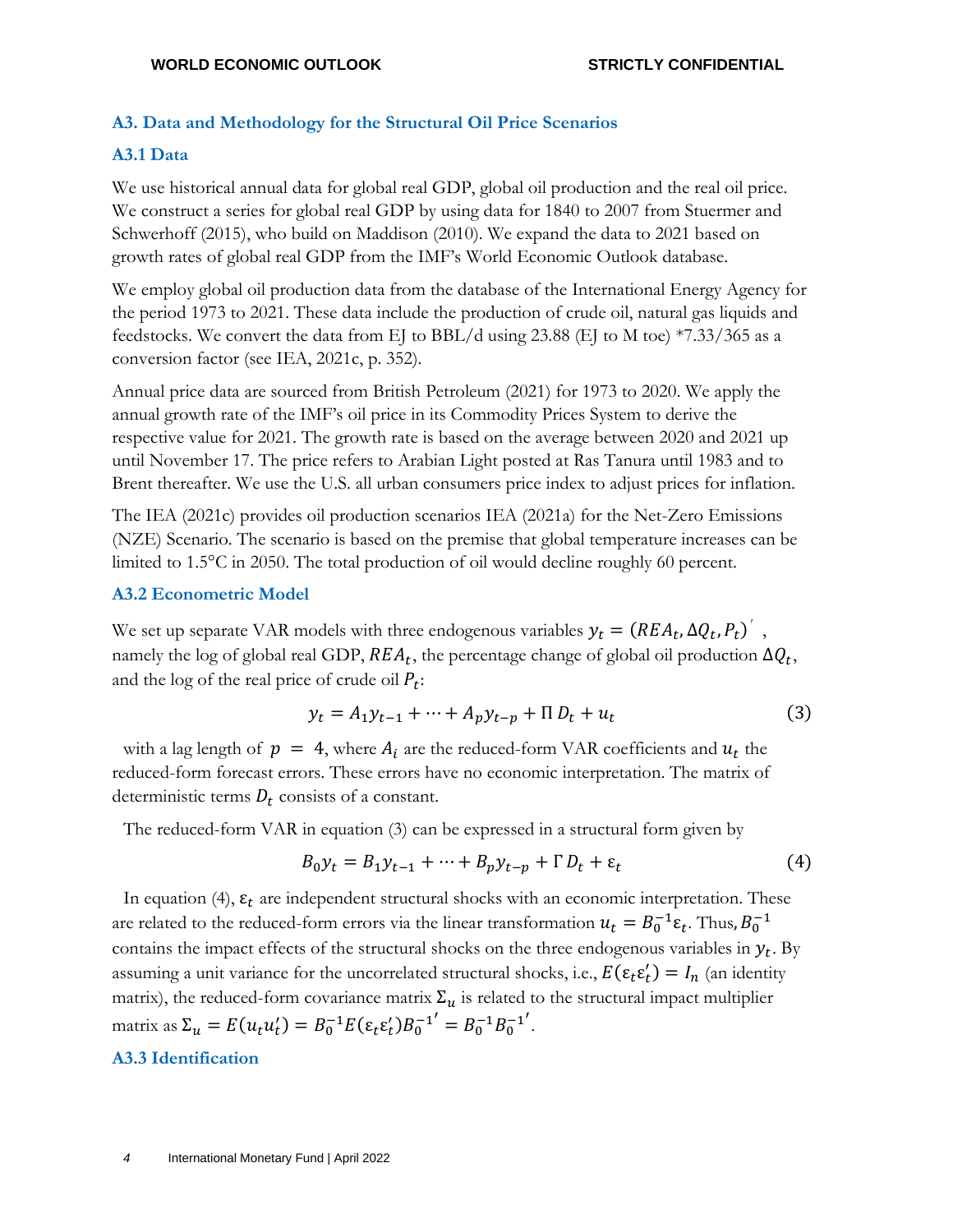# **A3. Data and Methodology for the Structural Oil Price Scenarios**

## **A3.1 Data**

We use historical annual data for global real GDP, global oil production and the real oil price. We construct a series for global real GDP by using data for 1840 to 2007 from Stuermer and Schwerhoff (2015), who build on Maddison (2010). We expand the data to 2021 based on growth rates of global real GDP from the IMF's World Economic Outlook database.

We employ global oil production data from the database of the International Energy Agency for the period 1973 to 2021. These data include the production of crude oil, natural gas liquids and feedstocks. We convert the data from EJ to BBL/d using 23.88 (EJ to M toe)  $*7.33/365$  as a conversion factor (see IEA, 2021c, p. 352).

Annual price data are sourced from British Petroleum (2021) for 1973 to 2020. We apply the annual growth rate of the IMF's oil price in its Commodity Prices System to derive the respective value for 2021. The growth rate is based on the average between 2020 and 2021 up until November 17. The price refers to Arabian Light posted at Ras Tanura until 1983 and to Brent thereafter. We use the U.S. all urban consumers price index to adjust prices for inflation.

The IEA (2021c) provides oil production scenarios IEA (2021a) for the Net-Zero Emissions (NZE) Scenario. The scenario is based on the premise that global temperature increases can be limited to 1.5°C in 2050. The total production of oil would decline roughly 60 percent.

# **A3.2 Econometric Model**

We set up separate VAR models with three endogenous variables  $y_t = (REA_t, \Delta Q_t, P_t)^T$ , namely the log of global real GDP,  $\mathit{REA}_t$ , the percentage change of global oil production  $\Delta Q_t$ , and the log of the real price of crude oil  $P_t$ :

$$
y_t = A_1 y_{t-1} + \dots + A_p y_{t-p} + \Pi D_t + u_t \tag{3}
$$

with a lag length of  $p = 4$ , where  $A_i$  are the reduced-form VAR coefficients and  $u_t$  the reduced-form forecast errors. These errors have no economic interpretation. The matrix of deterministic terms  $D_t$  consists of a constant.

The reduced-form VAR in equation (3) can be expressed in a structural form given by

$$
B_0 y_t = B_1 y_{t-1} + \dots + B_p y_{t-p} + \Gamma D_t + \varepsilon_t \tag{4}
$$

In equation (4),  $\varepsilon_t$  are independent structural shocks with an economic interpretation. These are related to the reduced-form errors via the linear transformation  $u_t = B_0^{-1} \epsilon_t$ . Thus,  $B_0^{-1}$ contains the impact effects of the structural shocks on the three endogenous variables in  $y_t$ . By assuming a unit variance for the uncorrelated structural shocks, i.e.,  $E(\varepsilon_t \varepsilon'_t) = I_n$  (an identity matrix), the reduced-form covariance matrix  $\Sigma_u$  is related to the structural impact multiplier matrix as  $\Sigma_u = E(u_t u_t') = B_0^{-1} E(\epsilon_t \epsilon_t') B_0^{-1'} = B_0^{-1} B_0^{-1'}$ .

### **A3.3 Identification**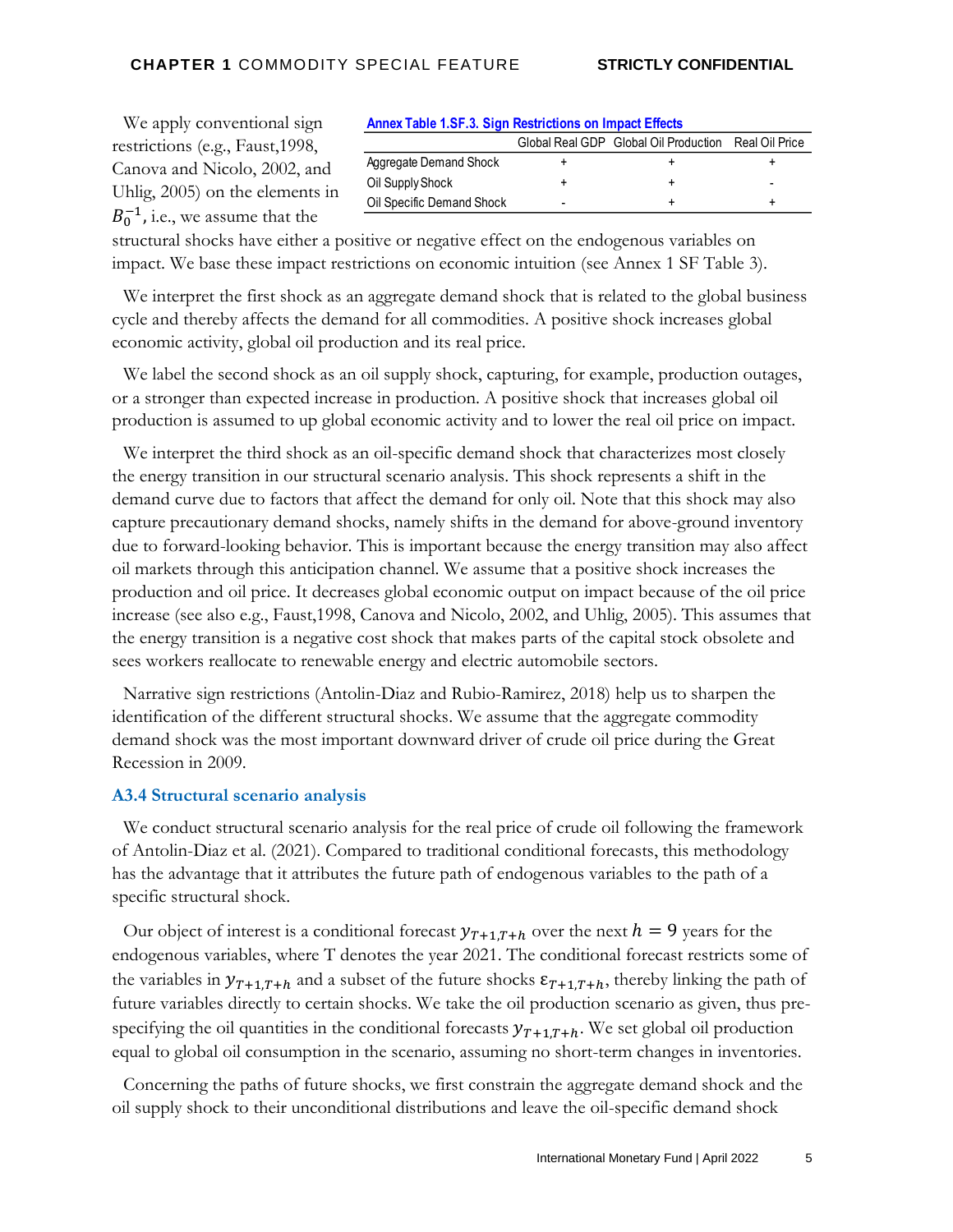| We apply conventional sign            |
|---------------------------------------|
| restrictions (e.g., Faust, 1998,      |
| Canova and Nicolo, 2002, and          |
| Uhlig, 2005) on the elements in       |
| $B_0^{-1}$ , i.e., we assume that the |

| <b>Annex Table 1.SF.3. Sign Restrictions on Impact Effects</b> |   |                                                      |   |  |  |  |
|----------------------------------------------------------------|---|------------------------------------------------------|---|--|--|--|
|                                                                |   | Global Real GDP Global Oil Production Real Oil Price |   |  |  |  |
| Aggregate Demand Shock                                         |   |                                                      |   |  |  |  |
| Oil Supply Shock                                               |   |                                                      | - |  |  |  |
| Oil Specific Demand Shock                                      | - |                                                      |   |  |  |  |

structural shocks have either a positive or negative effect on the endogenous variables on impact. We base these impact restrictions on economic intuition (see Annex 1 SF Table 3).

We interpret the first shock as an aggregate demand shock that is related to the global business cycle and thereby affects the demand for all commodities. A positive shock increases global economic activity, global oil production and its real price.

We label the second shock as an oil supply shock, capturing, for example, production outages, or a stronger than expected increase in production. A positive shock that increases global oil production is assumed to up global economic activity and to lower the real oil price on impact.

We interpret the third shock as an oil-specific demand shock that characterizes most closely the energy transition in our structural scenario analysis. This shock represents a shift in the demand curve due to factors that affect the demand for only oil. Note that this shock may also capture precautionary demand shocks, namely shifts in the demand for above-ground inventory due to forward-looking behavior. This is important because the energy transition may also affect oil markets through this anticipation channel. We assume that a positive shock increases the production and oil price. It decreases global economic output on impact because of the oil price increase (see also e.g., Faust,1998, Canova and Nicolo, 2002, and Uhlig, 2005). This assumes that the energy transition is a negative cost shock that makes parts of the capital stock obsolete and sees workers reallocate to renewable energy and electric automobile sectors.

Narrative sign restrictions (Antolin-Diaz and Rubio-Ramirez, 2018) help us to sharpen the identification of the different structural shocks. We assume that the aggregate commodity demand shock was the most important downward driver of crude oil price during the Great Recession in 2009.

### **A3.4 Structural scenario analysis**

We conduct structural scenario analysis for the real price of crude oil following the framework of Antolin-Diaz et al. (2021). Compared to traditional conditional forecasts, this methodology has the advantage that it attributes the future path of endogenous variables to the path of a specific structural shock.

Our object of interest is a conditional forecast  $y_{T+1,T+h}$  over the next  $h = 9$  years for the endogenous variables, where T denotes the year 2021. The conditional forecast restricts some of the variables in  $y_{T+1,T+h}$  and a subset of the future shocks  $\varepsilon_{T+1,T+h}$ , thereby linking the path of future variables directly to certain shocks. We take the oil production scenario as given, thus prespecifying the oil quantities in the conditional forecasts  $y_{T+1,T+h}$ . We set global oil production equal to global oil consumption in the scenario, assuming no short-term changes in inventories.

Concerning the paths of future shocks, we first constrain the aggregate demand shock and the oil supply shock to their unconditional distributions and leave the oil-specific demand shock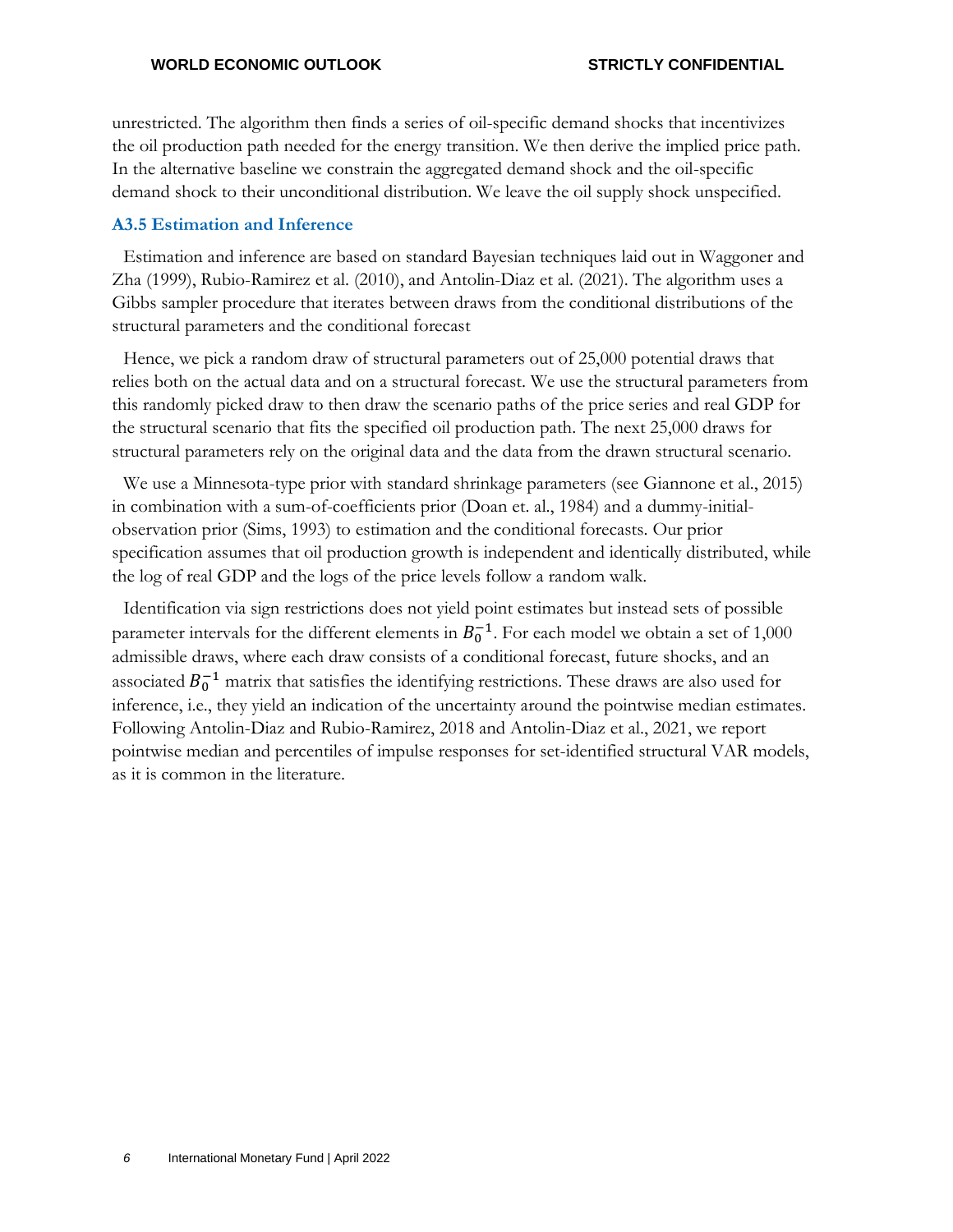unrestricted. The algorithm then finds a series of oil-specific demand shocks that incentivizes the oil production path needed for the energy transition. We then derive the implied price path. In the alternative baseline we constrain the aggregated demand shock and the oil-specific demand shock to their unconditional distribution. We leave the oil supply shock unspecified.

#### **A3.5 Estimation and Inference**

Estimation and inference are based on standard Bayesian techniques laid out in Waggoner and Zha (1999), Rubio-Ramirez et al. (2010), and Antolin-Diaz et al. (2021). The algorithm uses a Gibbs sampler procedure that iterates between draws from the conditional distributions of the structural parameters and the conditional forecast

Hence, we pick a random draw of structural parameters out of 25,000 potential draws that relies both on the actual data and on a structural forecast. We use the structural parameters from this randomly picked draw to then draw the scenario paths of the price series and real GDP for the structural scenario that fits the specified oil production path. The next 25,000 draws for structural parameters rely on the original data and the data from the drawn structural scenario.

We use a Minnesota-type prior with standard shrinkage parameters (see Giannone et al., 2015) in combination with a sum-of-coefficients prior (Doan et. al., 1984) and a dummy-initialobservation prior (Sims, 1993) to estimation and the conditional forecasts. Our prior specification assumes that oil production growth is independent and identically distributed, while the log of real GDP and the logs of the price levels follow a random walk.

Identification via sign restrictions does not yield point estimates but instead sets of possible parameter intervals for the different elements in  $B_0^{-1}$ . For each model we obtain a set of 1,000 admissible draws, where each draw consists of a conditional forecast, future shocks, and an associated  $B_0^{-1}$  matrix that satisfies the identifying restrictions. These draws are also used for inference, i.e., they yield an indication of the uncertainty around the pointwise median estimates. Following Antolin-Diaz and Rubio-Ramirez, 2018 and Antolin-Diaz et al., 2021, we report pointwise median and percentiles of impulse responses for set-identified structural VAR models, as it is common in the literature.